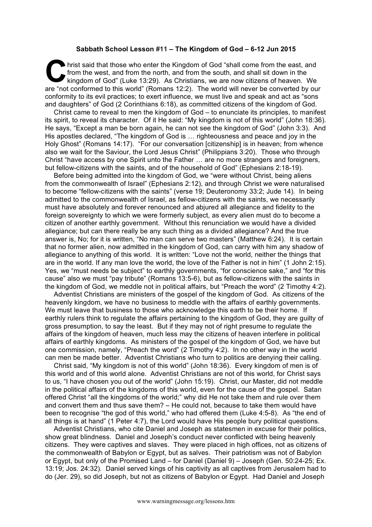## **Sabbath School Lesson #11 – The Kingdom of God – 6-12 Jun 2015**

hrist said that those who enter the Kingdom of God "shall come from the east, and from the west, and from the north, and from the south, and shall sit down in the kingdom of God" (Luke 13:29). As Christians, we are now cit from the west, and from the north, and from the south, and shall sit down in the kingdom of God" (Luke 13:29). As Christians, we are now citizens of heaven. We are "not conformed to this world" (Romans 12:2). The world will never be converted by our conformity to its evil practices; to exert influence, we must live and speak and act as "sons and daughters" of God (2 Corinthians 6:18), as committed citizens of the kingdom of God.

Christ came to reveal to men the kingdom of God – to enunciate its principles, to manifest its spirit, to reveal its character. Of it He said: "My kingdom is not of this world" (John 18:36). He says, "Except a man be born again, he can not see the kingdom of God" (John 3:3). And His apostles declared, "The kingdom of God is … righteousness and peace and joy in the Holy Ghost" (Romans 14:17). "For our conversation [citizenship] is in heaven; from whence also we wait for the Saviour, the Lord Jesus Christ" (Philippians 3:20). Those who through Christ "have access by one Spirit unto the Father … are no more strangers and foreigners, but fellow-citizens with the saints, and of the household of God" (Ephesians 2:18-19).

Before being admitted into the kingdom of God, we "were without Christ, being aliens from the commonwealth of Israel" (Ephesians 2:12), and through Christ we were naturalised to become "fellow-citizens with the saints" (verse 19; Deuteronomy 33:2; Jude 14). In being admitted to the commonwealth of Israel, as fellow-citizens with the saints, we necessarily must have absolutely and forever renounced and abjured all allegiance and fidelity to the foreign sovereignty to which we were formerly subject, as every alien must do to become a citizen of another earthly government. Without this renunciation we would have a divided allegiance; but can there really be any such thing as a divided allegiance? And the true answer is, No; for it is written, "No man can serve two masters" (Matthew 6:24). It is certain that no former alien, now admitted in the kingdom of God, can carry with him any shadow of allegiance to anything of this world. It is written: "Love not the world, neither the things that are in the world. If any man love the world, the love of the Father is not in him" (1 John 2:15). Yes, we "must needs be subject" to earthly governments, "for conscience sake," and "for this cause" also we must "pay tribute" (Romans 13:5-6), but as fellow-citizens with the saints in the kingdom of God, we meddle not in political affairs, but "Preach the word" (2 Timothy 4:2).

Adventist Christians are ministers of the gospel of the kingdom of God. As citizens of the heavenly kingdom, we have no business to meddle with the affairs of earthly governments. We must leave that business to those who acknowledge this earth to be their home. If earthly rulers think to regulate the affairs pertaining to the kingdom of God, they are guilty of gross presumption, to say the least. But if they may not of right presume to regulate the affairs of the kingdom of heaven, much less may the citizens of heaven interfere in political affairs of earthly kingdoms. As ministers of the gospel of the kingdom of God, we have but one commission, namely, "Preach the word" (2 Timothy 4:2). In no other way in the world can men be made better. Adventist Christians who turn to politics are denying their calling.

Christ said, "My kingdom is not of this world" (John 18:36). Every kingdom of men is of this world and of this world alone. Adventist Christians are not of this world, for Christ says to us, "I have chosen you out of the world" (John 15:19). Christ, our Master, did not meddle in the political affairs of the kingdoms of this world, even for the cause of the gospel. Satan offered Christ "all the kingdoms of the world;" why did He not take them and rule over them and convert them and thus save them? – He could not, because to take them would have been to recognise "the god of this world," who had offered them (Luke 4:5-8). As "the end of all things is at hand" (1 Peter 4:7), the Lord would have His people bury political questions.

Adventist Christians, who cite Daniel and Joseph as statesmen in excuse for their politics, show great blindness. Daniel and Joseph's conduct never conflicted with being heavenly citizens. They were captives and slaves. They were placed in high offices, not as citizens of the commonwealth of Babylon or Egypt, but as salves. Their patriotism was not of Babylon or Egypt, but only of the Promised Land – for Daniel (Daniel 9) – Joseph (Gen. 50:24-25; Ex. 13:19; Jos. 24:32). Daniel served kings of his captivity as all captives from Jerusalem had to do (Jer. 29), so did Joseph, but not as citizens of Babylon or Egypt. Had Daniel and Joseph